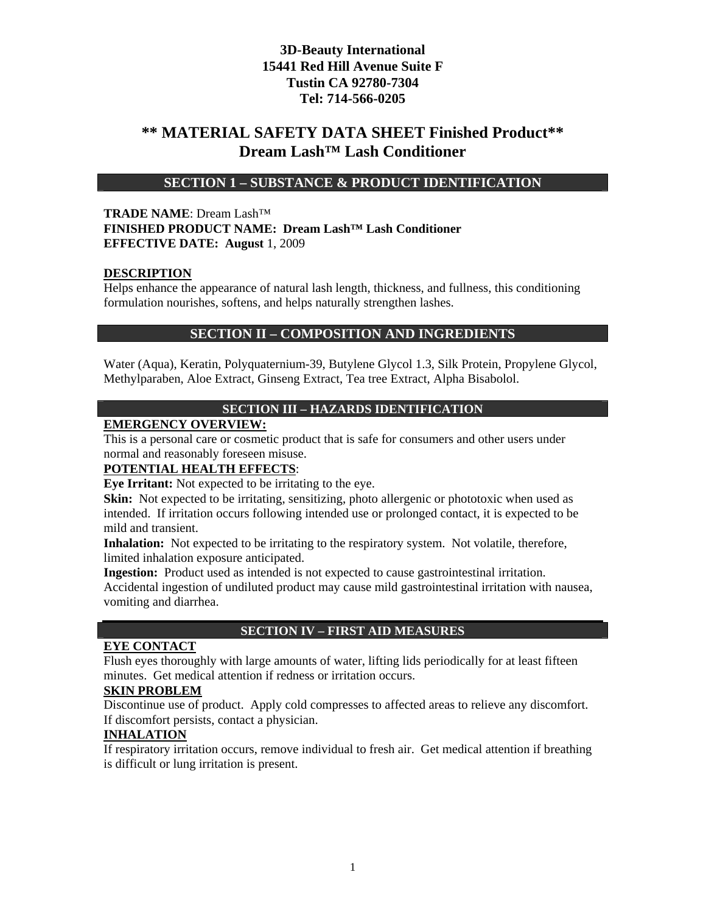# **\*\* MATERIAL SAFETY DATA SHEET Finished Product\*\* Dream Lash™ Lash Conditioner**

# **SECTION 1 – SUBSTANCE & PRODUCT IDENTIFICATION**

#### **TRADE NAME**: Dream Lash™ **FINISHED PRODUCT NAME: Dream Lash™ Lash Conditioner EFFECTIVE DATE: August** 1, 2009

#### **DESCRIPTION**

Helps enhance the appearance of natural lash length, thickness, and fullness, this conditioning formulation nourishes, softens, and helps naturally strengthen lashes.

#### **SECTION II – COMPOSITION AND INGREDIENTS**

Water (Aqua), Keratin, Polyquaternium-39, Butylene Glycol 1.3, Silk Protein, Propylene Glycol, Methylparaben, Aloe Extract, Ginseng Extract, Tea tree Extract, Alpha Bisabolol.

#### **SECTION III – HAZARDS IDENTIFICATION**

#### **EMERGENCY OVERVIEW:**

This is a personal care or cosmetic product that is safe for consumers and other users under normal and reasonably foreseen misuse.

#### **POTENTIAL HEALTH EFFECTS**:

**Eye Irritant:** Not expected to be irritating to the eye.

**Skin:** Not expected to be irritating, sensitizing, photo allergenic or phototoxic when used as intended. If irritation occurs following intended use or prolonged contact, it is expected to be mild and transient.

**Inhalation:** Not expected to be irritating to the respiratory system. Not volatile, therefore, limited inhalation exposure anticipated.

**Ingestion:** Product used as intended is not expected to cause gastrointestinal irritation. Accidental ingestion of undiluted product may cause mild gastrointestinal irritation with nausea, vomiting and diarrhea.

#### **SECTION IV – FIRST AID MEASURES**

#### **EYE CONTACT**

Flush eyes thoroughly with large amounts of water, lifting lids periodically for at least fifteen minutes. Get medical attention if redness or irritation occurs.

#### **SKIN PROBLEM**

Discontinue use of product. Apply cold compresses to affected areas to relieve any discomfort. If discomfort persists, contact a physician.

#### **INHALATION**

If respiratory irritation occurs, remove individual to fresh air. Get medical attention if breathing is difficult or lung irritation is present.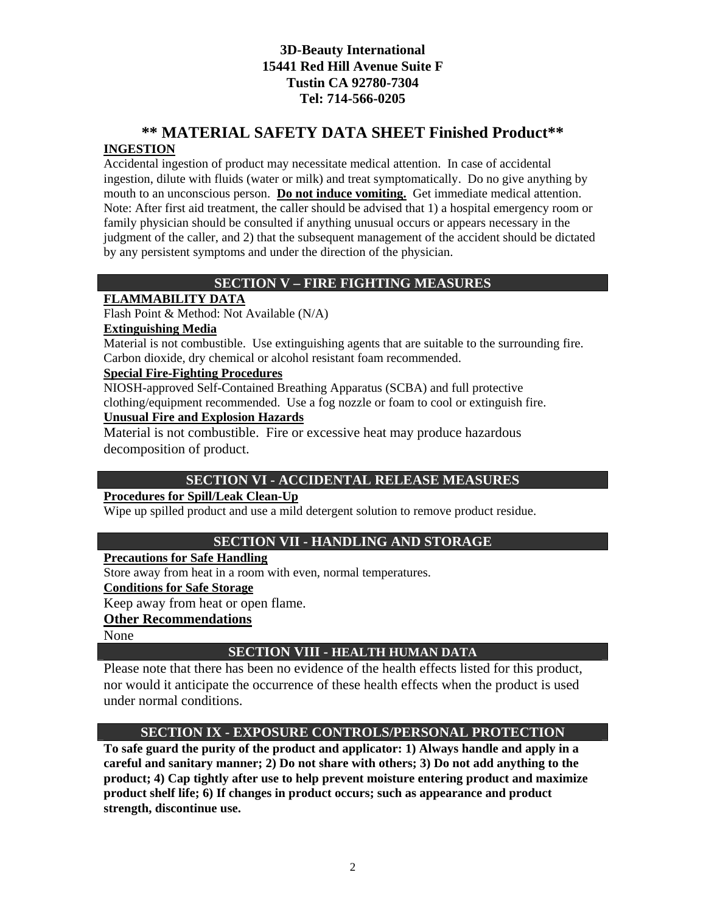# **\*\* MATERIAL SAFETY DATA SHEET Finished Product\*\***

## **INGESTION**

Accidental ingestion of product may necessitate medical attention. In case of accidental ingestion, dilute with fluids (water or milk) and treat symptomatically. Do no give anything by mouth to an unconscious person. **Do not induce vomiting.** Get immediate medical attention. Note: After first aid treatment, the caller should be advised that 1) a hospital emergency room or family physician should be consulted if anything unusual occurs or appears necessary in the judgment of the caller, and 2) that the subsequent management of the accident should be dictated by any persistent symptoms and under the direction of the physician.

# **SECTION V – FIRE FIGHTING MEASURES**

## **FLAMMABILITY DATA**

Flash Point & Method: Not Available (N/A)

#### **Extinguishing Media**

Material is not combustible. Use extinguishing agents that are suitable to the surrounding fire. Carbon dioxide, dry chemical or alcohol resistant foam recommended.

#### **Special Fire-Fighting Procedures**

NIOSH-approved Self-Contained Breathing Apparatus (SCBA) and full protective clothing/equipment recommended. Use a fog nozzle or foam to cool or extinguish fire.

#### **Unusual Fire and Explosion Hazards**

Material is not combustible. Fire or excessive heat may produce hazardous decomposition of product.

# **SECTION VI - ACCIDENTAL RELEASE MEASURES**

#### **Procedures for Spill/Leak Clean-Up**

Wipe up spilled product and use a mild detergent solution to remove product residue.

# **SECTION VII - HANDLING AND STORAGE**

#### **Precautions for Safe Handling**

Store away from heat in a room with even, normal temperatures.

#### **Conditions for Safe Storage**

Keep away from heat or open flame.

# **Other Recommendations**

None

#### **SECTION VIII - HEALTH HUMAN DATA**

Please note that there has been no evidence of the health effects listed for this product, nor would it anticipate the occurrence of these health effects when the product is used under normal conditions.

#### **SECTION IX - EXPOSURE CONTROLS/PERSONAL PROTECTION**

**To safe guard the purity of the product and applicator: 1) Always handle and apply in a careful and sanitary manner; 2) Do not share with others; 3) Do not add anything to the product; 4) Cap tightly after use to help prevent moisture entering product and maximize product shelf life; 6) If changes in product occurs; such as appearance and product strength, discontinue use.**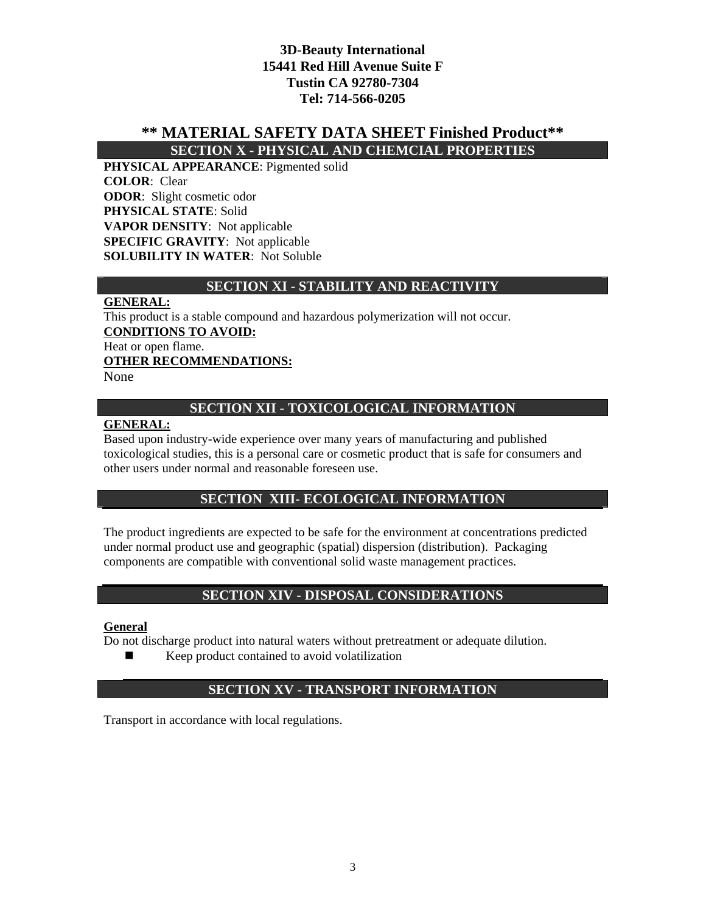# **\*\* MATERIAL SAFETY DATA SHEET Finished Product\*\***

**SECTION X - PHYSICAL AND CHEMCIAL PROPERTIES** 

**PHYSICAL APPEARANCE**: Pigmented solid **COLOR**: Clear **ODOR**: Slight cosmetic odor **PHYSICAL STATE**: Solid **VAPOR DENSITY**: Not applicable **SPECIFIC GRAVITY**: Not applicable **SOLUBILITY IN WATER**: Not Soluble

## **SECTION XI - STABILITY AND REACTIVITY**

#### **GENERAL:**

This product is a stable compound and hazardous polymerization will not occur. **CONDITIONS TO AVOID:** Heat or open flame. **OTHER RECOMMENDATIONS:** None

## **SECTION XII - TOXICOLOGICAL INFORMATION**

#### **GENERAL:**

Based upon industry-wide experience over many years of manufacturing and published toxicological studies, this is a personal care or cosmetic product that is safe for consumers and other users under normal and reasonable foreseen use.

# **SECTION XIII- ECOLOGICAL INFORMATION**

The product ingredients are expected to be safe for the environment at concentrations predicted under normal product use and geographic (spatial) dispersion (distribution). Packaging components are compatible with conventional solid waste management practices.

# **SECTION XIV - DISPOSAL CONSIDERATIONS**

#### **General**

Do not discharge product into natural waters without pretreatment or adequate dilution.

 $\blacksquare$  Keep product contained to avoid volatilization

# **SECTION XV - TRANSPORT INFORMATION**

Transport in accordance with local regulations.